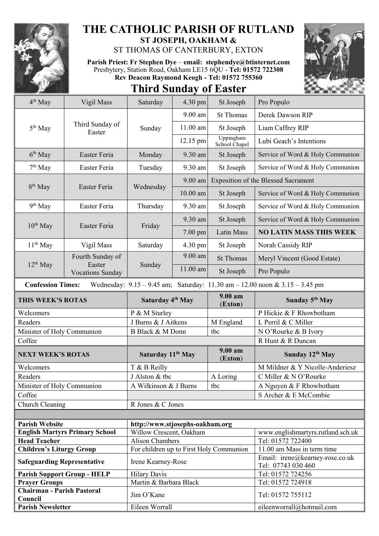

## **THE CATHOLIC PARISH OF RUTLAND ST JOSEPH, OAKHAM &**

ST THOMAS OF CANTERBURY, EXTON

**Parish Priest: Fr Stephen Dye** – **[email: stephendye@btinternet.com](mailto:email:%20%20stephendye@btinternet.com)** Presbytery, Station Road, Oakham LE15 6QU - **Tel: 01572 722308 Rev Deacon Raymond Keogh - Tel: 01572 755360**



| <b>Third Sunday of Easter</b> |  |  |  |  |  |  |
|-------------------------------|--|--|--|--|--|--|
| $M_{0.00}$                    |  |  |  |  |  |  |

| 4 <sup>th</sup> May                          | Vigil Mass                                                                                                      | Saturday                                | $4.30$ pm  | St Joseph                  | Pro Populo                                            |  |
|----------------------------------------------|-----------------------------------------------------------------------------------------------------------------|-----------------------------------------|------------|----------------------------|-------------------------------------------------------|--|
| 5 <sup>th</sup> May                          | Third Sunday of<br>Easter                                                                                       | Sunday                                  | 9.00 am    | <b>St Thomas</b>           | Derek Dawson RIP                                      |  |
|                                              |                                                                                                                 |                                         | 11.00 am   | St Joseph                  | Liam Caffrey RIP                                      |  |
|                                              |                                                                                                                 |                                         | 12.15 pm   | Uppingham<br>School Chapel | Lubi Geach's Intentions                               |  |
| $6th$ May                                    | Easter Feria                                                                                                    | Monday                                  | 9.30 am    | St Joseph                  | Service of Word & Holy Communion                      |  |
| 7 <sup>th</sup> May                          | Easter Feria                                                                                                    | Tuesday                                 | 9.30 am    | St Joseph                  | Service of Word & Holy Communion                      |  |
| $8th$ May                                    | Easter Feria                                                                                                    | Wednesday                               | $9.00$ am  |                            | <b>Exposition of the Blessed Sacrament</b>            |  |
|                                              |                                                                                                                 |                                         | $10.00$ am | St Joseph                  | Service of Word & Holy Communion                      |  |
| 9 <sup>th</sup> May                          | Easter Feria                                                                                                    | Thursday                                | 9.30 am    | St Joseph                  | Service of Word & Holy Communion                      |  |
|                                              | Easter Feria                                                                                                    | Friday                                  | 9.30 am    | St Joseph                  | Service of Word & Holy Communion                      |  |
| $10^{th}$ May                                |                                                                                                                 |                                         | $7.00$ pm  | Latin Mass                 | <b>NO LATIN MASS THIS WEEK</b>                        |  |
| $11th$ May                                   | Vigil Mass                                                                                                      | Saturday                                | 4.30 pm    | St Joseph                  | Norah Cassidy RIP                                     |  |
|                                              | Fourth Sunday of                                                                                                |                                         | 9.00 am    | <b>St Thomas</b>           | Meryl Vincent (Good Estate)                           |  |
| $12^{th}$ May                                | Easter<br><b>Vocations Sunday</b>                                                                               | Sunday                                  | 11.00 am   | St Joseph                  | Pro Populo                                            |  |
|                                              | Wednesday: $9.15 - 9.45$ am; Saturday: $11.30$ am $- 12.00$ noon & $3.15 - 3.45$ pm<br><b>Confession Times:</b> |                                         |            |                            |                                                       |  |
| THIS WEEK'S ROTAS                            |                                                                                                                 | Saturday 4th May                        |            | 9.00 am<br>(Exton)         | Sunday 5 <sup>th</sup> May                            |  |
| Welcomers                                    |                                                                                                                 | P & M Sturley                           |            |                            | P Hickie & F Rhowbotham                               |  |
| Readers                                      |                                                                                                                 | J Burns & J Aitkens                     |            | M England                  | L Perril & C Miller                                   |  |
| Minister of Holy Communion                   |                                                                                                                 | B Black & M Donn                        |            | tbc                        | N O'Rourke & B Ivory                                  |  |
| Coffee                                       |                                                                                                                 |                                         |            |                            | R Hunt & R Duncan                                     |  |
| <b>NEXT WEEK'S ROTAS</b>                     |                                                                                                                 | Saturday 11 <sup>th</sup> May           |            | 9.00 am<br>(Exton)         | Sunday 12th May                                       |  |
| Welcomers                                    |                                                                                                                 | T & B Reilly                            |            |                            | M Mildner & Y Nicolle-Anderiesz                       |  |
| Readers                                      |                                                                                                                 | J Alston & tbc                          |            | A Loring                   | C Miller & N O'Rourke                                 |  |
| Minister of Holy Communion                   |                                                                                                                 | A Wilkinson & J Burns                   |            | tbc                        | A Nguyen & F Rhowbotham                               |  |
| Coffee                                       |                                                                                                                 |                                         |            |                            | S Archer & E McCombie                                 |  |
| Church Cleaning                              |                                                                                                                 | R Jones & C Jones                       |            |                            |                                                       |  |
|                                              |                                                                                                                 |                                         |            |                            |                                                       |  |
| <b>Parish Website</b>                        |                                                                                                                 | http://www.stjosephs-oakham.org         |            |                            |                                                       |  |
| <b>English Martyrs Primary School</b>        |                                                                                                                 | Willow Crescent, Oakham                 |            |                            | www.englishmartyrs.rutland.sch.uk                     |  |
| <b>Head Teacher</b>                          |                                                                                                                 | <b>Alison Chambers</b>                  |            |                            | Tel: 01572 722400                                     |  |
| <b>Children's Liturgy Group</b>              |                                                                                                                 | For children up to First Holy Communion |            |                            | 11.00 am Mass in term time                            |  |
| <b>Safeguarding Representative</b>           |                                                                                                                 | Irene Kearney-Rose                      |            |                            | Email: irene@kearney-rose.co.uk<br>Tel: 07743 030 460 |  |
| <b>Parish Support Group - HELP</b>           |                                                                                                                 | <b>Hilary Davis</b>                     |            |                            | Tel: 01572 724256                                     |  |
| <b>Prayer Groups</b>                         |                                                                                                                 | Martin & Barbara Black                  |            |                            | Tel: 01572 724918                                     |  |
| <b>Chairman - Parish Pastoral</b><br>Council |                                                                                                                 | Jim O'Kane                              |            |                            | Tel: 01572 755112                                     |  |
| <b>Parish Newsletter</b>                     |                                                                                                                 | Eileen Worrall                          |            |                            | eileenworrall@hotmail.com                             |  |